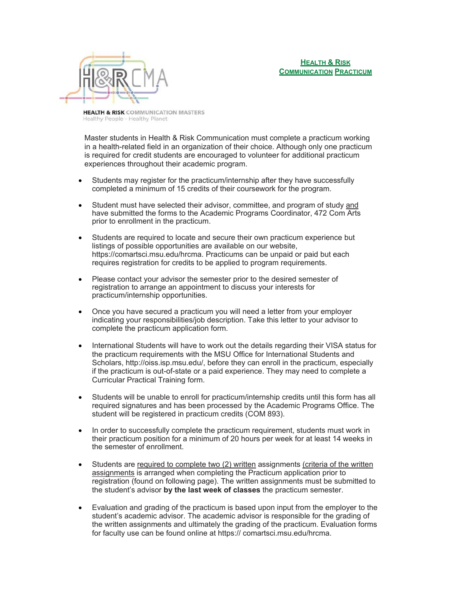

**HEALTH & RISK** COMMUNICATION MASTERS Healthy People - Healthy Planet

Master students in Health & Risk Communication must complete a practicum working in a health-related field in an organization of their choice. Although only one practicum is required for credit students are encouraged to volunteer for additional practicum experiences throughout their academic program.

- Students may register for the practicum/internship after they have successfully completed a minimum of 15 credits of their coursework for the program.
- Student must have selected their advisor, committee, and program of study and have submitted the forms to the Academic Programs Coordinator, 472 Com Arts prior to enrollment in the practicum.
- Students are required to locate and secure their own practicum experience but listings of possible opportunities are available on our website, https://comartsci.msu.edu/hrcma. Practicums can be unpaid or paid but each requires registration for credits to be applied to program requirements.
- Please contact your advisor the semester prior to the desired semester of registration to arrange an appointment to discuss your interests for practicum/internship opportunities.
- Once you have secured a practicum you will need a letter from your employer indicating your responsibilities/job description. Take this letter to your advisor to complete the practicum application form.
- International Students will have to work out the details regarding their VISA status for the practicum requirements with the MSU Office for International Students and Scholars, http://oiss.isp.msu.edu/, before they can enroll in the practicum, especially if the practicum is out-of-state or a paid experience. They may need to complete a Curricular Practical Training form.
- Students will be unable to enroll for practicum/internship credits until this form has all required signatures and has been processed by the Academic Programs Office. The student will be registered in practicum credits (COM 893).
- In order to successfully complete the practicum requirement, students must work in their practicum position for a minimum of 20 hours per week for at least 14 weeks in the semester of enrollment.
- Students are required to complete two (2) written assignments (criteria of the written assignments is arranged when completing the Practicum application prior to registration (found on following page). The written assignments must be submitted to the student's advisor **by the last week of classes** the practicum semester.
- Evaluation and grading of the practicum is based upon input from the employer to the student's academic advisor. The academic advisor is responsible for the grading of the written assignments and ultimately the grading of the practicum. Evaluation forms for faculty use can be found online at https:// comartsci.msu.edu/hrcma.